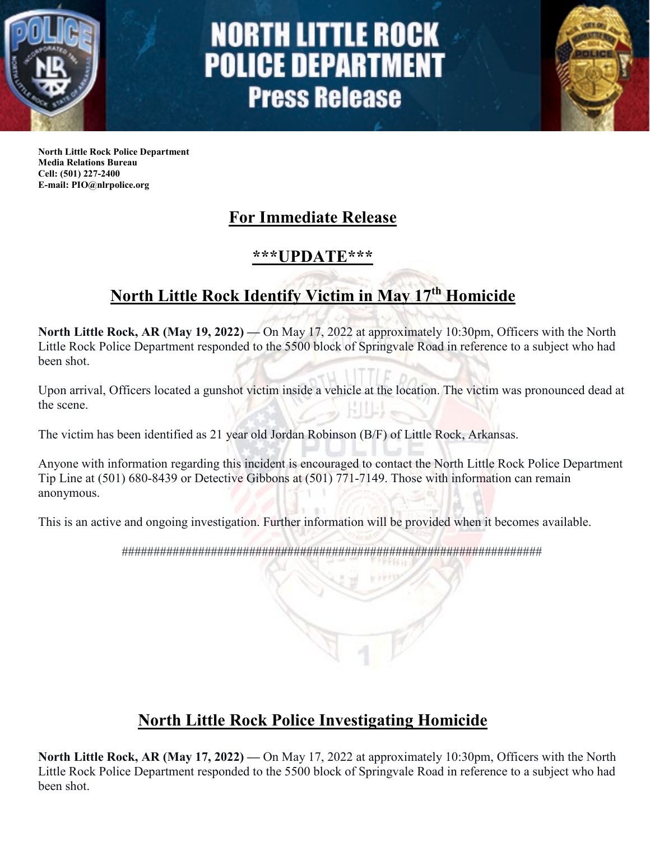

# **NORTH LITTLE ROCK POLICE DEPARTMENT Press Release**



**North Little Rock Police Department Media Relations Bureau Cell: (501) 227-2400 E-mail: PIO@nlrpolice.org**

## **For Immediate Release**

#### **\*\*\*UPDATE\*\*\***

## **North Little Rock Identify Victim in May 17th Homicide**

**North Little Rock, AR (May 19, 2022) —** On May 17, 2022 at approximately 10:30pm, Officers with the North Little Rock Police Department responded to the 5500 block of Springvale Road in reference to a subject who had been shot.

Upon arrival, Officers located a gunshot victim inside a vehicle at the location. The victim was pronounced dead at the scene. HUES

The victim has been identified as 21 year old Jordan Robinson (B/F) of Little Rock, Arkansas.

Anyone with information regarding this incident is encouraged to contact the North Little Rock Police Department Tip Line at (501) 680-8439 or Detective Gibbons at (501) 771-7149. Those with information can remain anonymous.

This is an active and ongoing investigation. Further information will be provided when it becomes available.

##################################################################

### **North Little Rock Police Investigating Homicide**

**North Little Rock, AR (May 17, 2022) —** On May 17, 2022 at approximately 10:30pm, Officers with the North Little Rock Police Department responded to the 5500 block of Springvale Road in reference to a subject who had been shot.